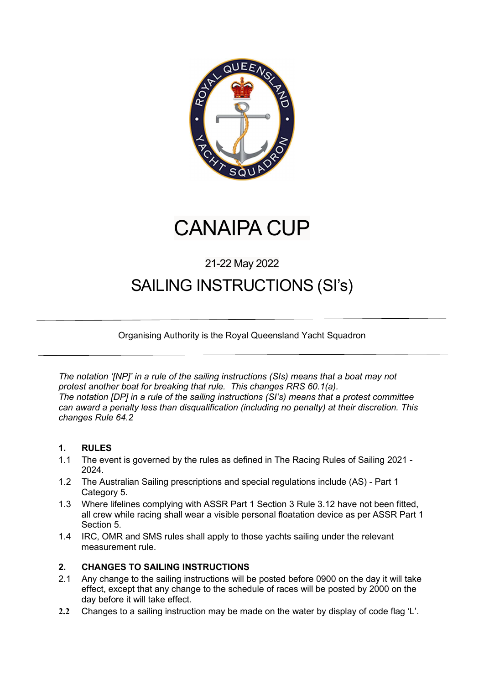

# CANAIPA CUP

### 21-22 May 2022

## SAILING INSTRUCTIONS (SI's)

Organising Authority is the Royal Queensland Yacht Squadron

The notation '[NP]' in a rule of the sailing instructions (SIs) means that a boat may not protest another boat for breaking that rule. This changes RRS 60.1(a). The notation [DP] in a rule of the sailing instructions (SI's) means that a protest committee can award a penalty less than disqualification (including no penalty) at their discretion. This changes Rule 64.2

#### 1. RULES

- 1.1 The event is governed by the rules as defined in The Racing Rules of Sailing 2021 2024.
- 1.2 The Australian Sailing prescriptions and special regulations include (AS) Part 1 Category 5.
- 1.3 Where lifelines complying with ASSR Part 1 Section 3 Rule 3.12 have not been fitted, all crew while racing shall wear a visible personal floatation device as per ASSR Part 1 Section 5.
- 1.4 IRC, OMR and SMS rules shall apply to those yachts sailing under the relevant measurement rule.

#### 2. CHANGES TO SAILING INSTRUCTIONS

- 2.1 Any change to the sailing instructions will be posted before 0900 on the day it will take effect, except that any change to the schedule of races will be posted by 2000 on the day before it will take effect.
- 2.2 Changes to a sailing instruction may be made on the water by display of code flag 'L'.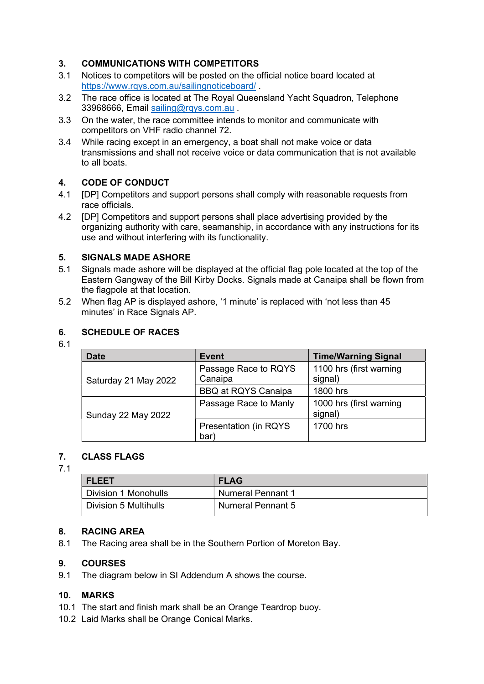#### 3. COMMUNICATIONS WITH COMPETITORS

- 3.1 Notices to competitors will be posted on the official notice board located at https://www.rqys.com.au/sailingnoticeboard/ .
- 3.2 The race office is located at The Royal Queensland Yacht Squadron, Telephone 33968666, Email sailing@rqys.com.au .
- 3.3 On the water, the race committee intends to monitor and communicate with competitors on VHF radio channel 72.
- 3.4 While racing except in an emergency, a boat shall not make voice or data transmissions and shall not receive voice or data communication that is not available to all boats.

#### 4. CODE OF CONDUCT

- 4.1 [DP] Competitors and support persons shall comply with reasonable requests from race officials.
- 4.2 [DP] Competitors and support persons shall place advertising provided by the organizing authority with care, seamanship, in accordance with any instructions for its use and without interfering with its functionality.

#### 5. SIGNALS MADE ASHORE

- 5.1 Signals made ashore will be displayed at the official flag pole located at the top of the Eastern Gangway of the Bill Kirby Docks. Signals made at Canaipa shall be flown from the flagpole at that location.
- 5.2 When flag AP is displayed ashore, '1 minute' is replaced with 'not less than 45 minutes' in Race Signals AP.

#### 6. SCHEDULE OF RACES

#### 6.1

| <b>Date</b>          | <b>Event</b>                    | <b>Time/Warning Signal</b>         |
|----------------------|---------------------------------|------------------------------------|
| Saturday 21 May 2022 | Passage Race to RQYS<br>Canaipa | 1100 hrs (first warning<br>signal) |
|                      | <b>BBQ at RQYS Canaipa</b>      | 1800 hrs                           |
| Sunday 22 May 2022   | Passage Race to Manly           | 1000 hrs (first warning<br>signal) |
|                      | Presentation (in RQYS<br>bar)   | 1700 hrs                           |

#### 7. CLASS FLAGS

#### 7.1

| I FLEET               | <b>FLAG</b>              |
|-----------------------|--------------------------|
| Division 1 Monohulls  | <b>Numeral Pennant 1</b> |
| Division 5 Multihulls | <b>Numeral Pennant 5</b> |

#### 8. RACING AREA

8.1 The Racing area shall be in the Southern Portion of Moreton Bay.

#### 9. COURSES

9.1 The diagram below in SI Addendum A shows the course.

#### 10. MARKS

- 10.1 The start and finish mark shall be an Orange Teardrop buoy.
- 10.2 Laid Marks shall be Orange Conical Marks.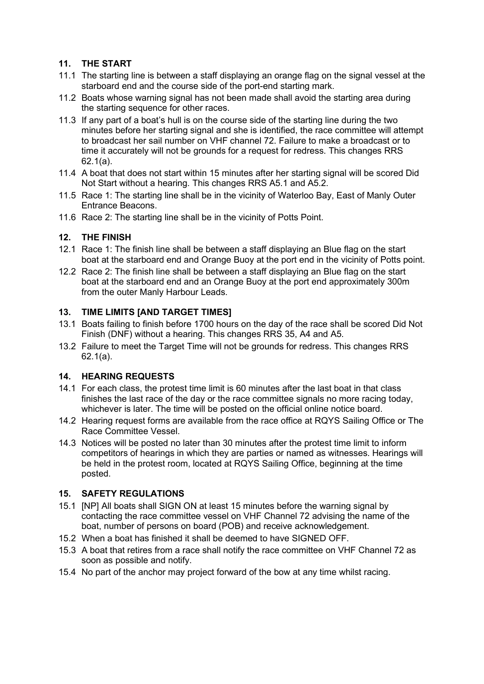#### 11. THE START

- 11.1 The starting line is between a staff displaying an orange flag on the signal vessel at the starboard end and the course side of the port-end starting mark.
- 11.2 Boats whose warning signal has not been made shall avoid the starting area during the starting sequence for other races.
- 11.3 If any part of a boat's hull is on the course side of the starting line during the two minutes before her starting signal and she is identified, the race committee will attempt to broadcast her sail number on VHF channel 72. Failure to make a broadcast or to time it accurately will not be grounds for a request for redress. This changes RRS 62.1(a).
- 11.4 A boat that does not start within 15 minutes after her starting signal will be scored Did Not Start without a hearing. This changes RRS A5.1 and A5.2.
- 11.5 Race 1: The starting line shall be in the vicinity of Waterloo Bay, East of Manly Outer Entrance Beacons.
- 11.6 Race 2: The starting line shall be in the vicinity of Potts Point.

#### 12. THE FINISH

- 12.1 Race 1: The finish line shall be between a staff displaying an Blue flag on the start boat at the starboard end and Orange Buoy at the port end in the vicinity of Potts point.
- 12.2 Race 2: The finish line shall be between a staff displaying an Blue flag on the start boat at the starboard end and an Orange Buoy at the port end approximately 300m from the outer Manly Harbour Leads.

#### 13. TIME LIMITS [AND TARGET TIMES]

- 13.1 Boats failing to finish before 1700 hours on the day of the race shall be scored Did Not Finish (DNF) without a hearing. This changes RRS 35, A4 and A5.
- 13.2 Failure to meet the Target Time will not be grounds for redress. This changes RRS 62.1(a).

#### 14. HEARING REQUESTS

- 14.1 For each class, the protest time limit is 60 minutes after the last boat in that class finishes the last race of the day or the race committee signals no more racing today, whichever is later. The time will be posted on the official online notice board.
- 14.2 Hearing request forms are available from the race office at RQYS Sailing Office or The Race Committee Vessel.
- 14.3 Notices will be posted no later than 30 minutes after the protest time limit to inform competitors of hearings in which they are parties or named as witnesses. Hearings will be held in the protest room, located at RQYS Sailing Office, beginning at the time posted.

#### 15. SAFETY REGULATIONS

- 15.1 [NP] All boats shall SIGN ON at least 15 minutes before the warning signal by contacting the race committee vessel on VHF Channel 72 advising the name of the boat, number of persons on board (POB) and receive acknowledgement.
- 15.2 When a boat has finished it shall be deemed to have SIGNED OFF.
- 15.3 A boat that retires from a race shall notify the race committee on VHF Channel 72 as soon as possible and notify.
- 15.4 No part of the anchor may project forward of the bow at any time whilst racing.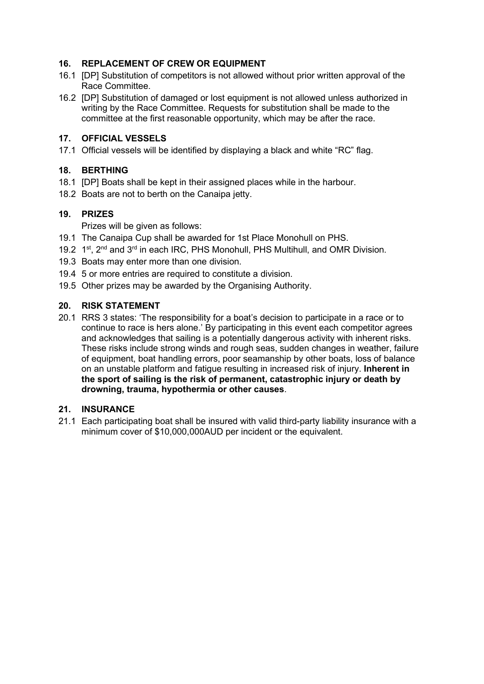#### 16. REPLACEMENT OF CREW OR EQUIPMENT

- 16.1 [DP] Substitution of competitors is not allowed without prior written approval of the Race Committee.
- 16.2 [DP] Substitution of damaged or lost equipment is not allowed unless authorized in writing by the Race Committee. Requests for substitution shall be made to the committee at the first reasonable opportunity, which may be after the race.

#### 17. OFFICIAL VESSELS

17.1 Official vessels will be identified by displaying a black and white "RC" flag.

#### 18. BERTHING

- 18.1 [DP] Boats shall be kept in their assigned places while in the harbour.
- 18.2 Boats are not to berth on the Canaipa jetty.

#### 19. PRIZES

Prizes will be given as follows:

- 19.1 The Canaipa Cup shall be awarded for 1st Place Monohull on PHS.
- 19.2 1<sup>st</sup>, 2<sup>nd</sup> and 3<sup>rd</sup> in each IRC, PHS Monohull, PHS Multihull, and OMR Division.
- 19.3 Boats may enter more than one division.
- 19.4 5 or more entries are required to constitute a division.
- 19.5 Other prizes may be awarded by the Organising Authority.

#### 20. RISK STATEMENT

20.1 RRS 3 states: 'The responsibility for a boat's decision to participate in a race or to continue to race is hers alone.' By participating in this event each competitor agrees and acknowledges that sailing is a potentially dangerous activity with inherent risks. These risks include strong winds and rough seas, sudden changes in weather, failure of equipment, boat handling errors, poor seamanship by other boats, loss of balance on an unstable platform and fatigue resulting in increased risk of injury. Inherent in the sport of sailing is the risk of permanent, catastrophic injury or death by drowning, trauma, hypothermia or other causes.

#### 21. INSURANCE

21.1 Each participating boat shall be insured with valid third-party liability insurance with a minimum cover of \$10,000,000AUD per incident or the equivalent.